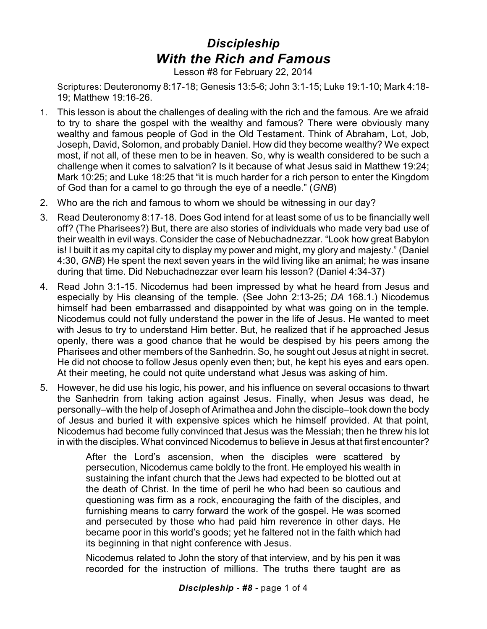## *Discipleship With the Rich and Famous*

Lesson #8 for February 22, 2014

Scriptures: Deuteronomy 8:17-18; Genesis 13:5-6; John 3:1-15; Luke 19:1-10; Mark 4:18- 19; Matthew 19:16-26.

- 1. This lesson is about the challenges of dealing with the rich and the famous. Are we afraid to try to share the gospel with the wealthy and famous? There were obviously many wealthy and famous people of God in the Old Testament. Think of Abraham, Lot, Job, Joseph, David, Solomon, and probably Daniel. How did they become wealthy? We expect most, if not all, of these men to be in heaven. So, why is wealth considered to be such a challenge when it comes to salvation? Is it because of what Jesus said in Matthew 19:24; Mark 10:25; and Luke 18:25 that "it is much harder for a rich person to enter the Kingdom of God than for a camel to go through the eye of a needle." (*GNB*)
- 2. Who are the rich and famous to whom we should be witnessing in our day?
- 3. Read Deuteronomy 8:17-18. Does God intend for at least some of us to be financially well off? (The Pharisees?) But, there are also stories of individuals who made very bad use of their wealth in evil ways. Consider the case of Nebuchadnezzar. "Look how great Babylon is! I built it as my capital city to display my power and might, my glory and majesty." (Daniel 4:30, *GNB*) He spent the next seven years in the wild living like an animal; he was insane during that time. Did Nebuchadnezzar ever learn his lesson? (Daniel 4:34-37)
- 4. Read John 3:1-15. Nicodemus had been impressed by what he heard from Jesus and especially by His cleansing of the temple. (See John 2:13-25; *DA* 168.1.) Nicodemus himself had been embarrassed and disappointed by what was going on in the temple. Nicodemus could not fully understand the power in the life of Jesus. He wanted to meet with Jesus to try to understand Him better. But, he realized that if he approached Jesus openly, there was a good chance that he would be despised by his peers among the Pharisees and other members of the Sanhedrin. So, he sought out Jesus at night in secret. He did not choose to follow Jesus openly even then; but, he kept his eyes and ears open. At their meeting, he could not quite understand what Jesus was asking of him.
- 5. However, he did use his logic, his power, and his influence on several occasions to thwart the Sanhedrin from taking action against Jesus. Finally, when Jesus was dead, he personally–with the help of Joseph of Arimathea and John the disciple–took down the body of Jesus and buried it with expensive spices which he himself provided. At that point, Nicodemus had become fully convinced that Jesus was the Messiah; then he threw his lot in with the disciples. What convinced Nicodemus to believe in Jesus at that first encounter?

After the Lord's ascension, when the disciples were scattered by persecution, Nicodemus came boldly to the front. He employed his wealth in sustaining the infant church that the Jews had expected to be blotted out at the death of Christ. In the time of peril he who had been so cautious and questioning was firm as a rock, encouraging the faith of the disciples, and furnishing means to carry forward the work of the gospel. He was scorned and persecuted by those who had paid him reverence in other days. He became poor in this world's goods; yet he faltered not in the faith which had its beginning in that night conference with Jesus.

Nicodemus related to John the story of that interview, and by his pen it was recorded for the instruction of millions. The truths there taught are as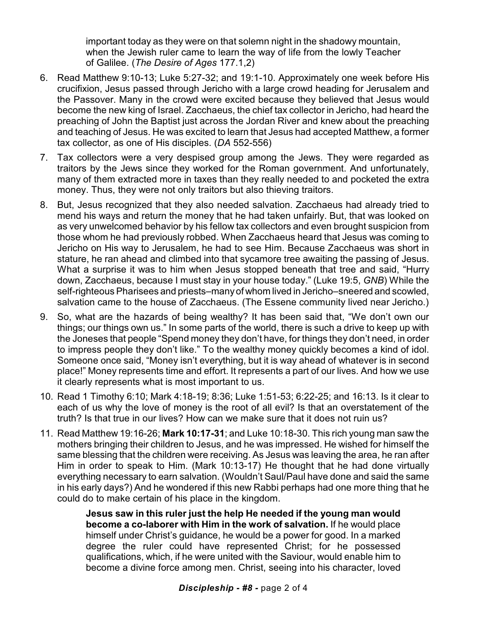important today as they were on that solemn night in the shadowy mountain, when the Jewish ruler came to learn the way of life from the lowly Teacher of Galilee. (*The Desire of Ages* 177.1,2)

- 6. Read Matthew 9:10-13; Luke 5:27-32; and 19:1-10. Approximately one week before His crucifixion, Jesus passed through Jericho with a large crowd heading for Jerusalem and the Passover. Many in the crowd were excited because they believed that Jesus would become the new king of Israel. Zacchaeus, the chief tax collector in Jericho, had heard the preaching of John the Baptist just across the Jordan River and knew about the preaching and teaching of Jesus. He was excited to learn that Jesus had accepted Matthew, a former tax collector, as one of His disciples. (*DA* 552-556)
- 7. Tax collectors were a very despised group among the Jews. They were regarded as traitors by the Jews since they worked for the Roman government. And unfortunately, many of them extracted more in taxes than they really needed to and pocketed the extra money. Thus, they were not only traitors but also thieving traitors.
- 8. But, Jesus recognized that they also needed salvation. Zacchaeus had already tried to mend his ways and return the money that he had taken unfairly. But, that was looked on as very unwelcomed behavior by his fellow tax collectors and even brought suspicion from those whom he had previously robbed. When Zacchaeus heard that Jesus was coming to Jericho on His way to Jerusalem, he had to see Him. Because Zacchaeus was short in stature, he ran ahead and climbed into that sycamore tree awaiting the passing of Jesus. What a surprise it was to him when Jesus stopped beneath that tree and said, "Hurry down, Zacchaeus, because I must stay in your house today." (Luke 19:5, *GNB*) While the self-righteous Pharisees and priests–manyof whom lived in Jericho–sneered and scowled, salvation came to the house of Zacchaeus. (The Essene community lived near Jericho.)
- 9. So, what are the hazards of being wealthy? It has been said that, "We don't own our things; our things own us." In some parts of the world, there is such a drive to keep up with the Joneses that people "Spend money they don't have, for things they don't need, in order to impress people they don't like." To the wealthy money quickly becomes a kind of idol. Someone once said, "Money isn't everything, but it is way ahead of whatever is in second place!" Money represents time and effort. It represents a part of our lives. And how we use it clearly represents what is most important to us.
- 10. Read 1 Timothy 6:10; Mark 4:18-19; 8:36; Luke 1:51-53; 6:22-25; and 16:13. Is it clear to each of us why the love of money is the root of all evil? Is that an overstatement of the truth? Is that true in our lives? How can we make sure that it does not ruin us?
- 11. Read Matthew 19:16-26; **Mark 10:17-31**; and Luke 10:18-30. This rich young man saw the mothers bringing their children to Jesus, and he was impressed. He wished for himself the same blessing that the children were receiving. As Jesus was leaving the area, he ran after Him in order to speak to Him. (Mark 10:13-17) He thought that he had done virtually everything necessary to earn salvation. (Wouldn't Saul/Paul have done and said the same in his early days?) And he wondered if this new Rabbi perhaps had one more thing that he could do to make certain of his place in the kingdom.

**Jesus saw in this ruler just the help He needed if the young man would become a co-laborer with Him in the work of salvation.** If he would place himself under Christ's guidance, he would be a power for good. In a marked degree the ruler could have represented Christ; for he possessed qualifications, which, if he were united with the Saviour, would enable him to become a divine force among men. Christ, seeing into his character, loved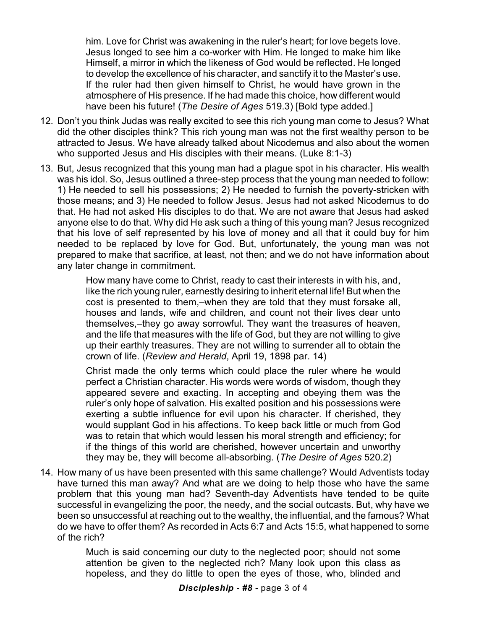him. Love for Christ was awakening in the ruler's heart; for love begets love. Jesus longed to see him a co-worker with Him. He longed to make him like Himself, a mirror in which the likeness of God would be reflected. He longed to develop the excellence of his character, and sanctify it to the Master's use. If the ruler had then given himself to Christ, he would have grown in the atmosphere of His presence. If he had made this choice, how different would have been his future! (*The Desire of Ages* 519.3) [Bold type added.]

- 12. Don't you think Judas was really excited to see this rich young man come to Jesus? What did the other disciples think? This rich young man was not the first wealthy person to be attracted to Jesus. We have already talked about Nicodemus and also about the women who supported Jesus and His disciples with their means. (Luke 8:1-3)
- 13. But, Jesus recognized that this young man had a plague spot in his character. His wealth was his idol. So, Jesus outlined a three-step process that the young man needed to follow: 1) He needed to sell his possessions; 2) He needed to furnish the poverty-stricken with those means; and 3) He needed to follow Jesus. Jesus had not asked Nicodemus to do that. He had not asked His disciples to do that. We are not aware that Jesus had asked anyone else to do that. Why did He ask such a thing of this young man? Jesus recognized that his love of self represented by his love of money and all that it could buy for him needed to be replaced by love for God. But, unfortunately, the young man was not prepared to make that sacrifice, at least, not then; and we do not have information about any later change in commitment.

How many have come to Christ, ready to cast their interests in with his, and, like the rich young ruler, earnestly desiring to inherit eternal life! But when the cost is presented to them,–when they are told that they must forsake all, houses and lands, wife and children, and count not their lives dear unto themselves,–they go away sorrowful. They want the treasures of heaven, and the life that measures with the life of God, but they are not willing to give up their earthly treasures. They are not willing to surrender all to obtain the crown of life. (*Review and Herald*, April 19, 1898 par. 14)

Christ made the only terms which could place the ruler where he would perfect a Christian character. His words were words of wisdom, though they appeared severe and exacting. In accepting and obeying them was the ruler's only hope of salvation. His exalted position and his possessions were exerting a subtle influence for evil upon his character. If cherished, they would supplant God in his affections. To keep back little or much from God was to retain that which would lessen his moral strength and efficiency; for if the things of this world are cherished, however uncertain and unworthy they may be, they will become all-absorbing. (*The Desire of Ages* 520.2)

14. How many of us have been presented with this same challenge? Would Adventists today have turned this man away? And what are we doing to help those who have the same problem that this young man had? Seventh-day Adventists have tended to be quite successful in evangelizing the poor, the needy, and the social outcasts. But, why have we been so unsuccessful at reaching out to the wealthy, the influential, and the famous? What do we have to offer them? As recorded in Acts 6:7 and Acts 15:5, what happened to some of the rich?

> Much is said concerning our duty to the neglected poor; should not some attention be given to the neglected rich? Many look upon this class as hopeless, and they do little to open the eyes of those, who, blinded and